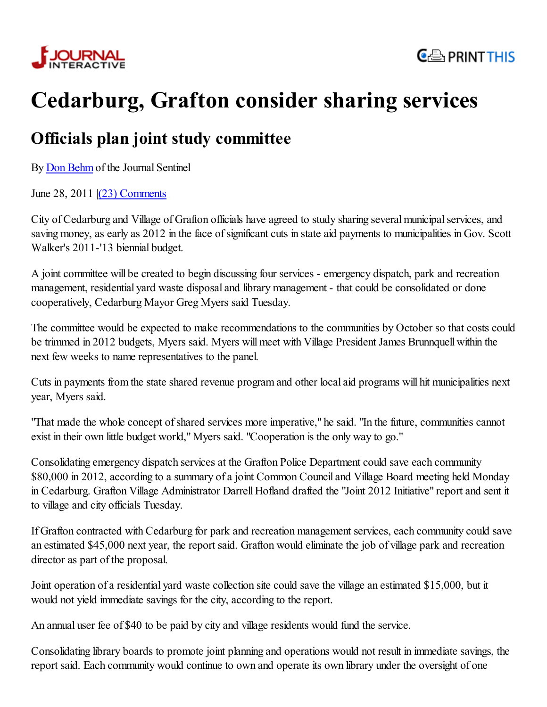



## Cedarburg, Grafton consider sharing services

## Officials plan joint study committee

By Don Behm of the Journal Sentinel

June 28, 2011 |(23) Comments

City of Cedarburg and Village of Grafton officials have agreed to study sharing several municipal services, and saving money, as early as 2012 in the face of significant cuts in state aid payments to municipalities in Gov. Scott Walker's 2011-'13 biennial budget.

A joint committee will be created to begin discussing four services - emergency dispatch, park and recreation management, residential yard waste disposal and library management - that could be consolidated or done cooperatively, Cedarburg Mayor Greg Myers said Tuesday.

The committee would be expected to make recommendations to the communities by October so that costs could be trimmed in 2012 budgets, Myers said. Myers will meet with Village President James Brunnquell within the next few weeks to name representatives to the panel.

Cuts in payments from the state shared revenue program and other local aid programs will hit municipalities next year, Myers said.

"That made the whole concept of shared services more imperative," he said. "In the future, communities cannot exist in their own little budget world," Myers said. "Cooperation is the only way to go."

Consolidating emergency dispatch services at the Grafton Police Department could save each community \$80,000 in 2012, according to a summary of a joint Common Council and Village Board meeting held Monday in Cedarburg. Grafton Village Administrator Darrell Hofland drafted the "Joint 2012 Initiative" report and sent it to village and city officials Tuesday.

If Grafton contracted with Cedarburg for park and recreation management services, each community could save an estimated \$45,000 next year, the report said. Grafton would eliminate the job of village park and recreation director as part of the proposal.

Joint operation of a residential yard waste collection site could save the village an estimated \$15,000, but it would not yield immediate savings for the city, according to the report.

An annual user fee of \$40 to be paid by city and village residents would fund the service.

Consolidating library boards to promote joint planning and operations would not result in immediate savings, the report said. Each community would continue to own and operate its own library under the oversight of one